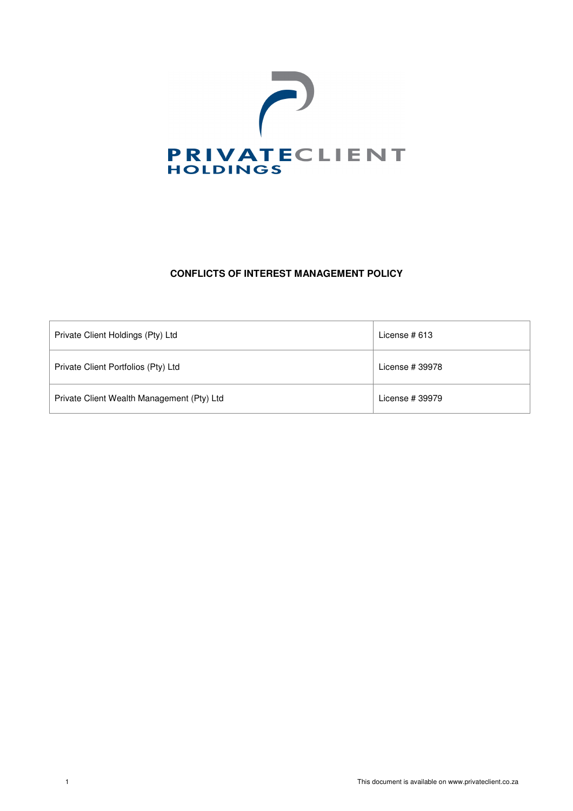

# **CONFLICTS OF INTEREST MANAGEMENT POLICY**

| Private Client Holdings (Pty) Ltd          | License $\#$ 613 |
|--------------------------------------------|------------------|
| Private Client Portfolios (Pty) Ltd        | License # 39978  |
| Private Client Wealth Management (Pty) Ltd | License # 39979  |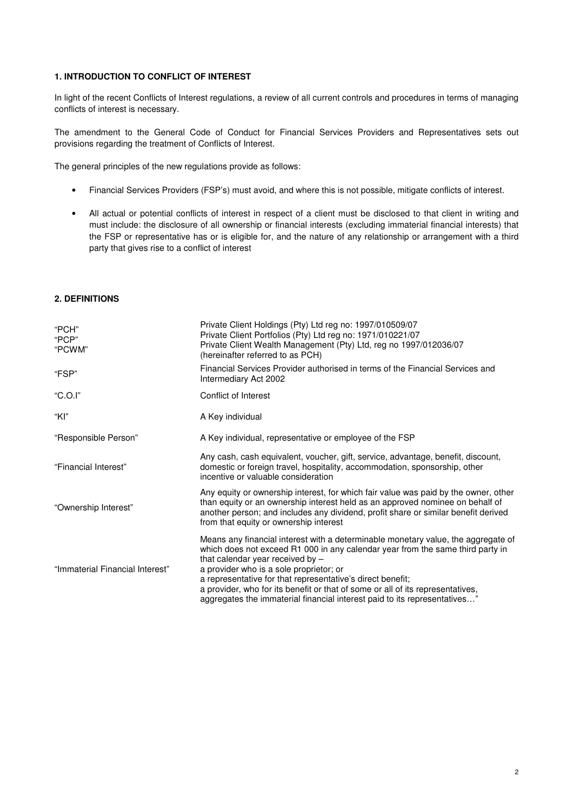## **1. INTRODUCTION TO CONFLICT OF INTEREST**

In light of the recent Conflicts of Interest regulations, a review of all current controls and procedures in terms of managing conflicts of interest is necessary.

The amendment to the General Code of Conduct for Financial Services Providers and Representatives sets out provisions regarding the treatment of Conflicts of Interest.

The general principles of the new regulations provide as follows:

- Financial Services Providers (FSP's) must avoid, and where this is not possible, mitigate conflicts of interest.
- All actual or potential conflicts of interest in respect of a client must be disclosed to that client in writing and must include: the disclosure of all ownership or financial interests (excluding immaterial financial interests) that the FSP or representative has or is eligible for, and the nature of any relationship or arrangement with a third party that gives rise to a conflict of interest

## **2. DEFINITIONS**

| "PCH"<br>"PCP"<br>"PCWM"        | Private Client Holdings (Pty) Ltd reg no: 1997/010509/07<br>Private Client Portfolios (Pty) Ltd reg no: 1971/010221/07<br>Private Client Wealth Management (Pty) Ltd, reg no 1997/012036/07<br>(hereinafter referred to as PCH)                                                                                                                                                                                                                                                   |
|---------------------------------|-----------------------------------------------------------------------------------------------------------------------------------------------------------------------------------------------------------------------------------------------------------------------------------------------------------------------------------------------------------------------------------------------------------------------------------------------------------------------------------|
| "FSP"                           | Financial Services Provider authorised in terms of the Financial Services and<br>Intermediary Act 2002                                                                                                                                                                                                                                                                                                                                                                            |
| "C.O.I"                         | Conflict of Interest                                                                                                                                                                                                                                                                                                                                                                                                                                                              |
| "Kl"                            | A Key individual                                                                                                                                                                                                                                                                                                                                                                                                                                                                  |
| "Responsible Person"            | A Key individual, representative or employee of the FSP                                                                                                                                                                                                                                                                                                                                                                                                                           |
| "Financial Interest"            | Any cash, cash equivalent, voucher, gift, service, advantage, benefit, discount,<br>domestic or foreign travel, hospitality, accommodation, sponsorship, other<br>incentive or valuable consideration                                                                                                                                                                                                                                                                             |
| "Ownership Interest"            | Any equity or ownership interest, for which fair value was paid by the owner, other<br>than equity or an ownership interest held as an approved nominee on behalf of<br>another person; and includes any dividend, profit share or similar benefit derived<br>from that equity or ownership interest                                                                                                                                                                              |
| "Immaterial Financial Interest" | Means any financial interest with a determinable monetary value, the aggregate of<br>which does not exceed R1 000 in any calendar year from the same third party in<br>that calendar year received by $-$<br>a provider who is a sole proprietor; or<br>a representative for that representative's direct benefit;<br>a provider, who for its benefit or that of some or all of its representatives,<br>aggregates the immaterial financial interest paid to its representatives" |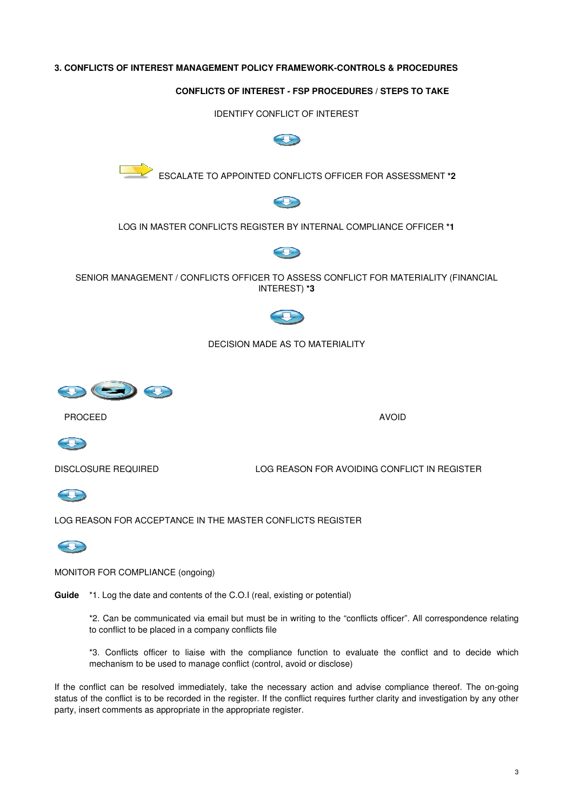# **3. CONFLICTS OF INTEREST MANAGEMENT POLICY FRAMEWORK-CONTROLS & PROCEDURES**

# **CONFLICTS OF INTEREST - FSP PROCEDURES / STEPS TO TAKE**

IDENTIFY CONFLICT OF INTEREST





ESCALATE TO APPOINTED CONFLICTS OFFICER FOR ASSESSMENT **\*2** 



LOG IN MASTER CONFLICTS REGISTER BY INTERNAL COMPLIANCE OFFICER **\*1**



SENIOR MANAGEMENT / CONFLICTS OFFICER TO ASSESS CONFLICT FOR MATERIALITY (FINANCIAL INTEREST) **\*3**



## DECISION MADE AS TO MATERIALITY



PROCEED AVOID AND A SERVER AND A VOID AND A VOID A VOID AND A VOID A VOID A VOID A VOID A VOID A VOID A VOID A



DISCLOSURE REQUIRED LOG REASON FOR AVOIDING CONFLICT IN REGISTER



LOG REASON FOR ACCEPTANCE IN THE MASTER CONFLICTS REGISTER



MONITOR FOR COMPLIANCE (ongoing)

**Guide** \*1. Log the date and contents of the C.O.I (real, existing or potential)

\*2. Can be communicated via email but must be in writing to the "conflicts officer". All correspondence relating to conflict to be placed in a company conflicts file

\*3. Conflicts officer to liaise with the compliance function to evaluate the conflict and to decide which mechanism to be used to manage conflict (control, avoid or disclose)

If the conflict can be resolved immediately, take the necessary action and advise compliance thereof. The on-going status of the conflict is to be recorded in the register. If the conflict requires further clarity and investigation by any other party, insert comments as appropriate in the appropriate register.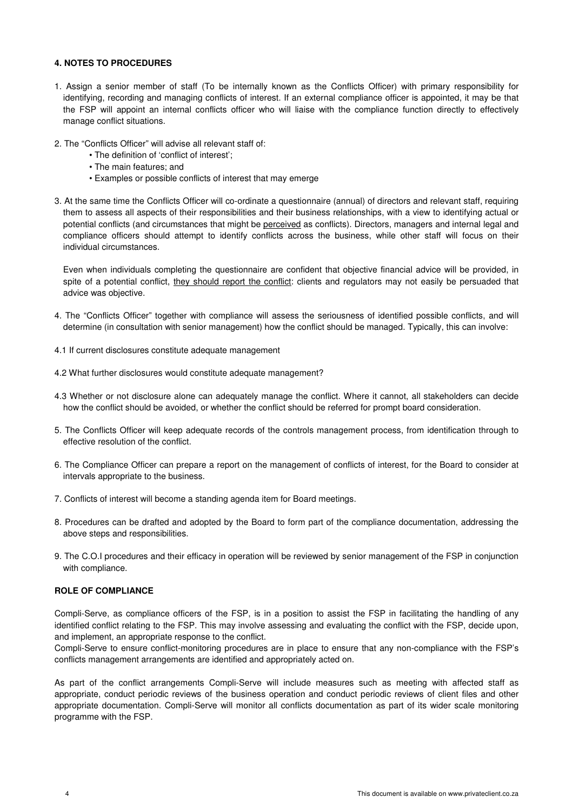## **4. NOTES TO PROCEDURES**

- 1. Assign a senior member of staff (To be internally known as the Conflicts Officer) with primary responsibility for identifying, recording and managing conflicts of interest. If an external compliance officer is appointed, it may be that the FSP will appoint an internal conflicts officer who will liaise with the compliance function directly to effectively manage conflict situations.
- 2. The "Conflicts Officer" will advise all relevant staff of:
	- The definition of 'conflict of interest';
	- The main features; and
	- Examples or possible conflicts of interest that may emerge
- 3. At the same time the Conflicts Officer will co-ordinate a questionnaire (annual) of directors and relevant staff, requiring them to assess all aspects of their responsibilities and their business relationships, with a view to identifying actual or potential conflicts (and circumstances that might be perceived as conflicts). Directors, managers and internal legal and compliance officers should attempt to identify conflicts across the business, while other staff will focus on their individual circumstances.

Even when individuals completing the questionnaire are confident that objective financial advice will be provided, in spite of a potential conflict, they should report the conflict: clients and regulators may not easily be persuaded that advice was objective.

- 4. The "Conflicts Officer" together with compliance will assess the seriousness of identified possible conflicts, and will determine (in consultation with senior management) how the conflict should be managed. Typically, this can involve:
- 4.1 If current disclosures constitute adequate management
- 4.2 What further disclosures would constitute adequate management?
- 4.3 Whether or not disclosure alone can adequately manage the conflict. Where it cannot, all stakeholders can decide how the conflict should be avoided, or whether the conflict should be referred for prompt board consideration.
- 5. The Conflicts Officer will keep adequate records of the controls management process, from identification through to effective resolution of the conflict.
- 6. The Compliance Officer can prepare a report on the management of conflicts of interest, for the Board to consider at intervals appropriate to the business.
- 7. Conflicts of interest will become a standing agenda item for Board meetings.
- 8. Procedures can be drafted and adopted by the Board to form part of the compliance documentation, addressing the above steps and responsibilities.
- 9. The C.O.I procedures and their efficacy in operation will be reviewed by senior management of the FSP in conjunction with compliance.

#### **ROLE OF COMPLIANCE**

Compli-Serve, as compliance officers of the FSP, is in a position to assist the FSP in facilitating the handling of any identified conflict relating to the FSP. This may involve assessing and evaluating the conflict with the FSP, decide upon, and implement, an appropriate response to the conflict.

Compli-Serve to ensure conflict-monitoring procedures are in place to ensure that any non-compliance with the FSP's conflicts management arrangements are identified and appropriately acted on.

As part of the conflict arrangements Compli-Serve will include measures such as meeting with affected staff as appropriate, conduct periodic reviews of the business operation and conduct periodic reviews of client files and other appropriate documentation. Compli-Serve will monitor all conflicts documentation as part of its wider scale monitoring programme with the FSP.